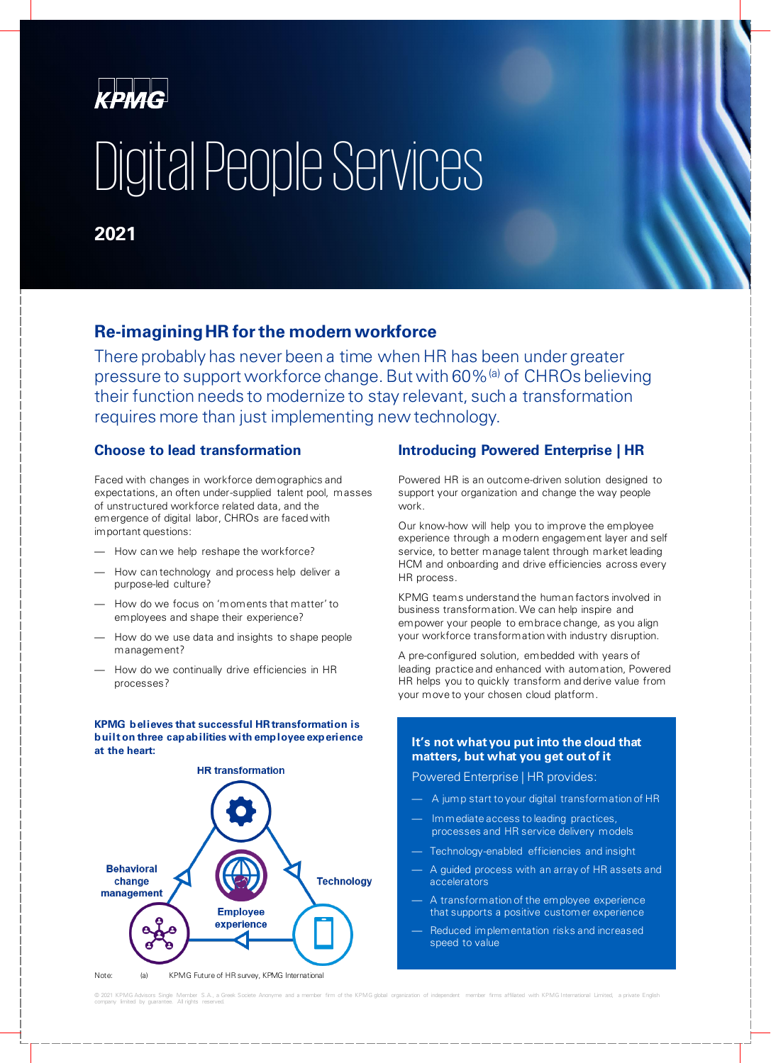

# Digital People Services

### **2021**

### **Re-imagining HR for the modern workforce**

There probably has never been a time when HR has been under greater pressure to support workforce change. But with 60%<sup>(a)</sup> of CHROs believing their function needs to modernize to stay relevant, such a transformation requires more than just implementing new technology.

### **Choose to lead transformation**

Faced with changes in workforce demographics and expectations, an often under-supplied talent pool, masses of unstructured workforce related data, and the emergence of digital labor, CHROs are faced with important questions:

- How can we help reshape the workforce?
- How can technology and process help deliver a purpose-led culture?
- How do we focus on 'moments that matter' to employees and shape their experience?
- How do we use data and insights to shape people management?
- How do we continually drive efficiencies in HR processes?

#### **KPMG believes that successful HR transformation is built on three capabilities with employee experience at the heart:**



### **Introducing Powered Enterprise | HR**

Powered HR is an outcome-driven solution designed to support your organization and change the way people work.

Our know-how will help you to improve the employee experience through a modern engagement layer and self service, to better manage talent through market leading HCM and onboarding and drive efficiencies across every HR process.

KPMG teams understand the human factors involved in business transformation. We can help inspire and empower your people to embrace change, as you align your workforce transformation with industry disruption.

A pre-configured solution, embedded with years of leading practice and enhanced with automation, Powered HR helps you to quickly transform and derive value from your move to your chosen cloud platform.

#### **It's not what you put into the cloud that matters, but what you get out of it**

Powered Enterprise | HR provides:

- A jump start to your digital transformation of HR
- Immediate access to leading practices, processes and HR service delivery models
- Technology-enabled efficiencies and insight
- A guided process with an array of HR assets and accelerators
- A transformation of the employee experience that supports a positive customer experience
- Reduced implementation risks and increased speed to value

© 2021 KPMG Advisors Single Member S.A., a Greek Societe Anonyme and a member firm of the KPMG gobal organization of independent member firms affiliated with KPMG International Limited, a private English<br>company limited by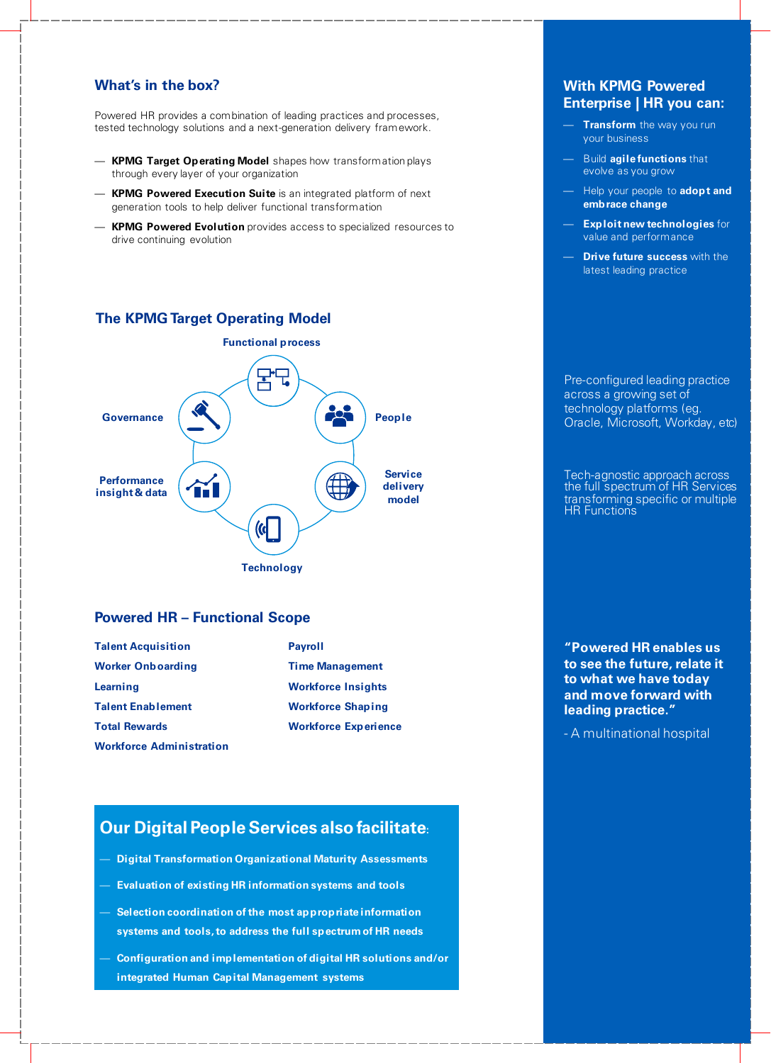### **What's in the box?**

Powered HR provides a combination of leading practices and processes, tested technology solutions and a next-generation delivery framework.

- **KPMG Target Operating Model** shapes how transformation plays through every layer of your organization
- **KPMG Powered Execution Suite** is an integrated platform of next generation tools to help deliver functional transformation
- **KPMG Powered Evolution** provides access to specialized resources to drive continuing evolution

### **The KPMG Target Operating Model**



### **Powered HR – Functional Scope**

| <b>Talent Acquisition</b>       | <b>Payroll</b>              |
|---------------------------------|-----------------------------|
| <b>Worker Onboarding</b>        | <b>Time Management</b>      |
| Learning                        | <b>Workforce Insights</b>   |
| <b>Talent Enablement</b>        | <b>Workforce Shaping</b>    |
| <b>Total Rewards</b>            | <b>Workforce Experience</b> |
| <b>Workforce Administration</b> |                             |

### **Our Digital People Services also facilitate:**

- **Digital Transformation Organizational Maturity Assessments**
- **Evaluation of existing HR information systems and tools**
- **Selection coordination of the most appropriate information systems and tools, to address the full spectrum of HR needs**
- **Configuration and implementation of digital HR solutions and/or integrated Human Capital Management systems**

### **With KPMG Powered Enterprise | HR you can:**

- **Transform** the way you run your business
- Build **agile functions** that evolve as you grow
- Help your people to **adopt and embrace change**
- **Exploit new technologies** for value and performance
- **Drive future success with the** latest leading practice

Pre-configured leading practice across a growing set of technology platforms (eg. Oracle, Microsoft, Workday, etc)

Tech-agnostic approach across the full spectrum of HR Services transforming specific or multiple HR Functions

**"Powered HR enables us to see the future, relate it to what we have today and move forward with leading practice."** 

- A multinational hospital